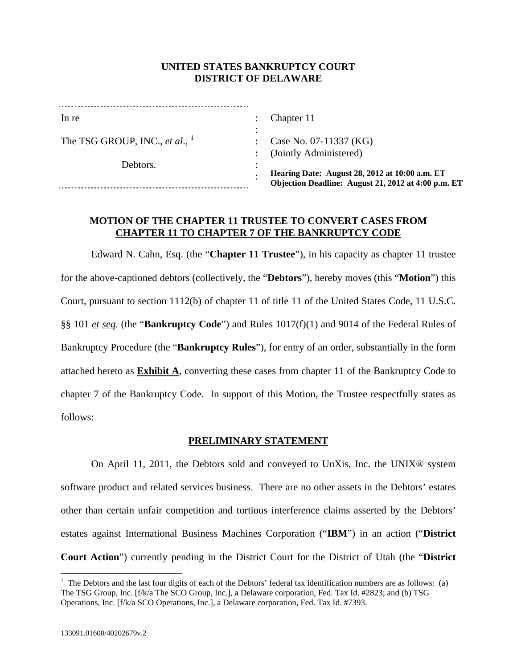# **UNITED STATES BANKRUPTCY COURT DISTRICT OF DELAWARE**

| In re                             |   | Chapter 11                                                                                            |
|-----------------------------------|---|-------------------------------------------------------------------------------------------------------|
| The TSG GROUP, INC., et al., $^1$ | ٠ | Case No. 07-11337 (KG)                                                                                |
|                                   |   | (Jointly Administered)                                                                                |
| Debtors.                          |   | Hearing Date: August 28, 2012 at 10:00 a.m. ET<br>Objection Deadline: August 21, 2012 at 4:00 p.m. ET |

## **MOTION OF THE CHAPTER 11 TRUSTEE TO CONVERT CASES FROM CHAPTER 11 TO CHAPTER 7 OF THE BANKRUPTCY CODE**

Edward N. Cahn, Esq. (the "**Chapter 11 Trustee**"), in his capacity as chapter 11 trustee for the above-captioned debtors (collectively, the "**Debtors**"), hereby moves (this "**Motion**") this Court, pursuant to section 1112(b) of chapter 11 of title 11 of the United States Code, 11 U.S.C. §§ 101 *et seq.* (the "**Bankruptcy Code**") and Rules 1017(f)(1) and 9014 of the Federal Rules of Bankruptcy Procedure (the "**Bankruptcy Rules**"), for entry of an order, substantially in the form attached hereto as **Exhibit A**, converting these cases from chapter 11 of the Bankruptcy Code to chapter 7 of the Bankruptcy Code. In support of this Motion, the Trustee respectfully states as follows:

# **PRELIMINARY STATEMENT**

On April 11, 2011, the Debtors sold and conveyed to UnXis, Inc. the UNIX® system software product and related services business. There are no other assets in the Debtors' estates other than certain unfair competition and tortious interference claims asserted by the Debtors' estates against International Business Machines Corporation ("**IBM**") in an action ("**District Court Action**") currently pending in the District Court for the District of Utah (the "**District** 

1

 $<sup>1</sup>$  The Debtors and the last four digits of each of the Debtors' federal tax identification numbers are as follows: (a)</sup> The TSG Group, Inc. [f/k/a The SCO Group, Inc.], a Delaware corporation, Fed. Tax Id. #2823; and (b) TSG Operations, Inc. [f/k/a SCO Operations, Inc.], a Delaware corporation, Fed. Tax Id. #7393.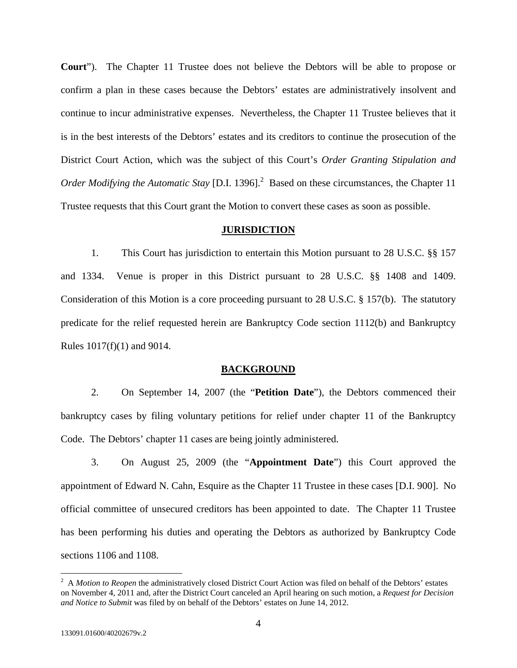**Court**"). The Chapter 11 Trustee does not believe the Debtors will be able to propose or confirm a plan in these cases because the Debtors' estates are administratively insolvent and continue to incur administrative expenses. Nevertheless, the Chapter 11 Trustee believes that it is in the best interests of the Debtors' estates and its creditors to continue the prosecution of the District Court Action, which was the subject of this Court's *Order Granting Stipulation and*  Order Modifying the Automatic Stay [D.I. 1396].<sup>2</sup> Based on these circumstances, the Chapter 11 Trustee requests that this Court grant the Motion to convert these cases as soon as possible.

### **JURISDICTION**

1. This Court has jurisdiction to entertain this Motion pursuant to 28 U.S.C. §§ 157 and 1334. Venue is proper in this District pursuant to 28 U.S.C. §§ 1408 and 1409. Consideration of this Motion is a core proceeding pursuant to 28 U.S.C. § 157(b). The statutory predicate for the relief requested herein are Bankruptcy Code section 1112(b) and Bankruptcy Rules 1017(f)(1) and 9014.

### **BACKGROUND**

2. On September 14, 2007 (the "**Petition Date**"), the Debtors commenced their bankruptcy cases by filing voluntary petitions for relief under chapter 11 of the Bankruptcy Code. The Debtors' chapter 11 cases are being jointly administered.

3. On August 25, 2009 (the "**Appointment Date**") this Court approved the appointment of Edward N. Cahn, Esquire as the Chapter 11 Trustee in these cases [D.I. 900]. No official committee of unsecured creditors has been appointed to date. The Chapter 11 Trustee has been performing his duties and operating the Debtors as authorized by Bankruptcy Code sections 1106 and 1108.

 $\overline{a}$ 

<sup>&</sup>lt;sup>2</sup> A *Motion to Reopen* the administratively closed District Court Action was filed on behalf of the Debtors' estates on November 4, 2011 and, after the District Court canceled an April hearing on such motion, a *Request for Decision and Notice to Submit* was filed by on behalf of the Debtors' estates on June 14, 2012.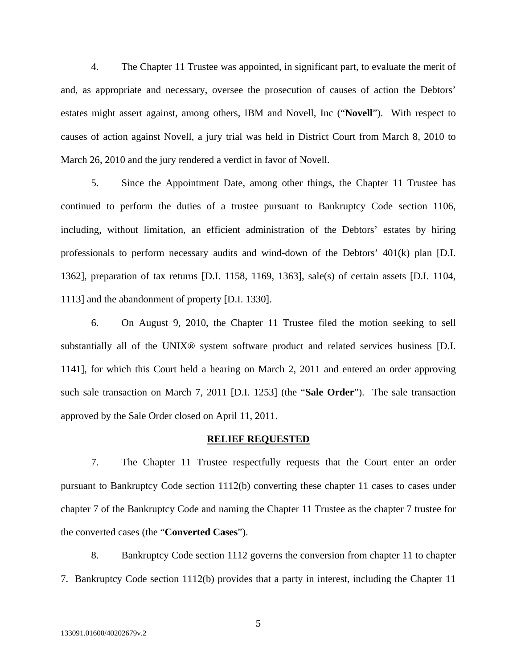4. The Chapter 11 Trustee was appointed, in significant part, to evaluate the merit of and, as appropriate and necessary, oversee the prosecution of causes of action the Debtors' estates might assert against, among others, IBM and Novell, Inc ("**Novell**"). With respect to causes of action against Novell, a jury trial was held in District Court from March 8, 2010 to March 26, 2010 and the jury rendered a verdict in favor of Novell.

5. Since the Appointment Date, among other things, the Chapter 11 Trustee has continued to perform the duties of a trustee pursuant to Bankruptcy Code section 1106, including, without limitation, an efficient administration of the Debtors' estates by hiring professionals to perform necessary audits and wind-down of the Debtors' 401(k) plan [D.I. 1362], preparation of tax returns [D.I. 1158, 1169, 1363], sale(s) of certain assets [D.I. 1104, 1113] and the abandonment of property [D.I. 1330].

6. On August 9, 2010, the Chapter 11 Trustee filed the motion seeking to sell substantially all of the UNIX® system software product and related services business [D.I. 1141], for which this Court held a hearing on March 2, 2011 and entered an order approving such sale transaction on March 7, 2011 [D.I. 1253] (the "**Sale Order**"). The sale transaction approved by the Sale Order closed on April 11, 2011.

### **RELIEF REQUESTED**

7. The Chapter 11 Trustee respectfully requests that the Court enter an order pursuant to Bankruptcy Code section 1112(b) converting these chapter 11 cases to cases under chapter 7 of the Bankruptcy Code and naming the Chapter 11 Trustee as the chapter 7 trustee for the converted cases (the "**Converted Cases**").

8. Bankruptcy Code section 1112 governs the conversion from chapter 11 to chapter 7. Bankruptcy Code section 1112(b) provides that a party in interest, including the Chapter 11

5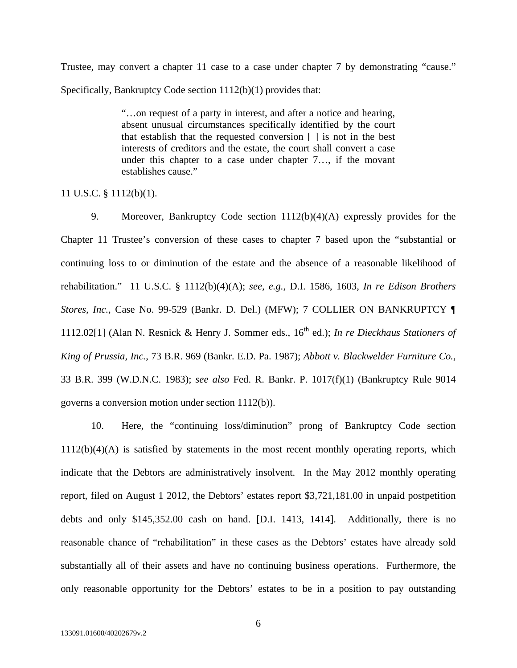Trustee, may convert a chapter 11 case to a case under chapter 7 by demonstrating "cause." Specifically, Bankruptcy Code section 1112(b)(1) provides that:

> "…on request of a party in interest, and after a notice and hearing, absent unusual circumstances specifically identified by the court that establish that the requested conversion [ ] is not in the best interests of creditors and the estate, the court shall convert a case under this chapter to a case under chapter 7…, if the movant establishes cause."

### 11 U.S.C. § 1112(b)(1).

9. Moreover, Bankruptcy Code section 1112(b)(4)(A) expressly provides for the Chapter 11 Trustee's conversion of these cases to chapter 7 based upon the "substantial or continuing loss to or diminution of the estate and the absence of a reasonable likelihood of rehabilitation." 11 U.S.C. § 1112(b)(4)(A); *see, e.g.,* D.I. 1586, 1603, *In re Edison Brothers Stores, Inc.*, Case No. 99-529 (Bankr. D. Del.) (MFW); 7 COLLIER ON BANKRUPTCY ¶ 1112.02[1] (Alan N. Resnick & Henry J. Sommer eds.,  $16<sup>th</sup>$  ed.); *In re Dieckhaus Stationers of King of Prussia, Inc.*, 73 B.R. 969 (Bankr. E.D. Pa. 1987); *Abbott v. Blackwelder Furniture Co.,*  33 B.R. 399 (W.D.N.C. 1983); *see also* Fed. R. Bankr. P. 1017(f)(1) (Bankruptcy Rule 9014 governs a conversion motion under section 1112(b)).

10. Here, the "continuing loss/diminution" prong of Bankruptcy Code section  $1112(b)(4)(A)$  is satisfied by statements in the most recent monthly operating reports, which indicate that the Debtors are administratively insolvent. In the May 2012 monthly operating report, filed on August 1 2012, the Debtors' estates report \$3,721,181.00 in unpaid postpetition debts and only \$145,352.00 cash on hand. [D.I. 1413, 1414]. Additionally, there is no reasonable chance of "rehabilitation" in these cases as the Debtors' estates have already sold substantially all of their assets and have no continuing business operations. Furthermore, the only reasonable opportunity for the Debtors' estates to be in a position to pay outstanding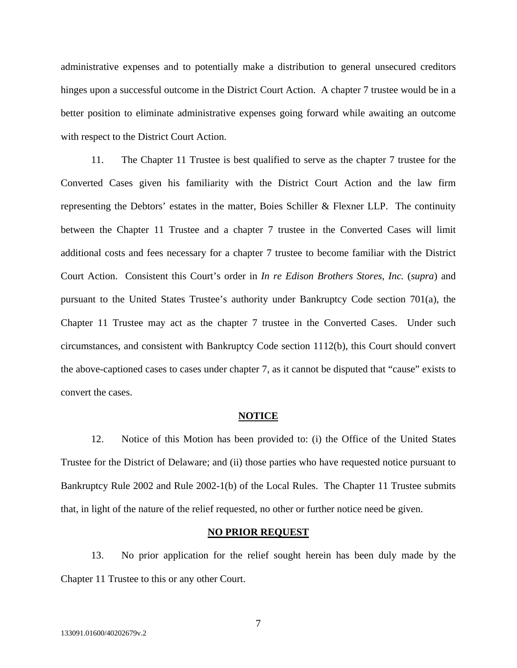administrative expenses and to potentially make a distribution to general unsecured creditors hinges upon a successful outcome in the District Court Action. A chapter 7 trustee would be in a better position to eliminate administrative expenses going forward while awaiting an outcome with respect to the District Court Action.

11. The Chapter 11 Trustee is best qualified to serve as the chapter 7 trustee for the Converted Cases given his familiarity with the District Court Action and the law firm representing the Debtors' estates in the matter, Boies Schiller & Flexner LLP. The continuity between the Chapter 11 Trustee and a chapter 7 trustee in the Converted Cases will limit additional costs and fees necessary for a chapter 7 trustee to become familiar with the District Court Action. Consistent this Court's order in *In re Edison Brothers Stores, Inc.* (*supra*) and pursuant to the United States Trustee's authority under Bankruptcy Code section 701(a), the Chapter 11 Trustee may act as the chapter 7 trustee in the Converted Cases. Under such circumstances, and consistent with Bankruptcy Code section 1112(b), this Court should convert the above-captioned cases to cases under chapter 7, as it cannot be disputed that "cause" exists to convert the cases.

#### **NOTICE**

12. Notice of this Motion has been provided to: (i) the Office of the United States Trustee for the District of Delaware; and (ii) those parties who have requested notice pursuant to Bankruptcy Rule 2002 and Rule 2002-1(b) of the Local Rules. The Chapter 11 Trustee submits that, in light of the nature of the relief requested, no other or further notice need be given.

### **NO PRIOR REQUEST**

13. No prior application for the relief sought herein has been duly made by the Chapter 11 Trustee to this or any other Court.

7